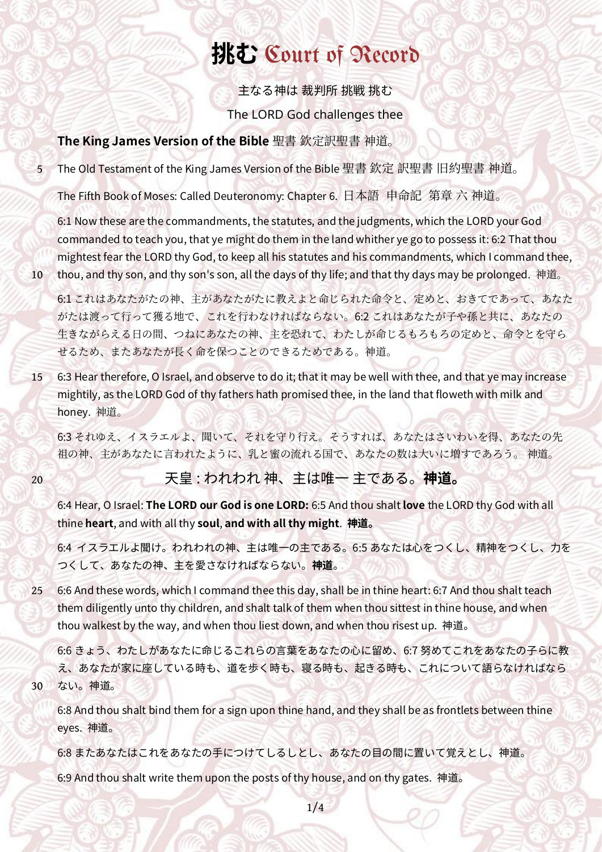# **挑む** [Court of Record](https://web.archive.org/web/20171203193633/http://www.courtofrecord.org/index.html)

主なる神は 裁判所 挑戦 挑む The LORD God challenges thee

## **The King James Version of the Bible** 聖書 欽定訳聖書 神道。

The Old Testament of the King James Version of the Bible 聖書 欽定 訳聖書 旧約聖書 神道。

The Fifth Book of Moses: Called Deuteronomy: Chapter 6. 日本語 申命記 第章 六 神道。

6:1 Now these are the commandments, the statutes, and the judgments, which the LORD your God commanded to teach you, that ye might do them in the land whither ye go to possess it: 6:2 That thou mightest fear the LORD thy God, to keep all his statutes and his commandments, which I command thee, thou, and thy son, and thy son's son, all the days of thy life; and that thy days may be prolonged. 神道。

6:1 これはあなたがたの神、主があなたがたに教えよと命じられた命令と、定めと、おきてであって、あなた がたは渡って行って獲る地で、これを行わなければならない。6:2 これはあなたが子や孫と共に、あなたの 生きながらえる日の間、つねにあなたの神、主を恐れて、わたしが命じるもろもろの定めと、命令とを守ら せるため、またあなたが長く命を保つことのできるためである。神道。

6:3 Hear therefore, O Israel, and observe to do it; that it may be well with thee, and that ye may increase mightily, as the LORD God of thy fathers hath promised thee, in the land that floweth with milk and honey. 神道。 15

6:3 それゆえ、イスラエルよ、聞いて、それを守り行え。そうすれば、あなたはさいわいを得、あなたの先 祖の神、主があなたに言われたように、乳と蜜の流れる国で、あなたの数は大いに増すであろう。 神道。

20

30

5

10

## 天皇 : われわれ 神、主は唯一 主である。 **神道。**

6:4 Hear, O Israel: **The LORD our God is one LORD:** 6:5 And thou shalt **love** the LORD thy God with all thine **heart**, and with all thy **soul**, **and with all thy might**. **神道。**

6:4 イスラエルよ聞け。われわれの神、主は唯一の主である。6:5 あなたは心をつくし、精神をつくし、力を つくして、あなたの神、主を愛さなければならない。**神道**。

6:6 And these words, which I command thee this day, shall be in thine heart: 6:7 And thou shalt teach them diligently unto thy children, and shalt talk of them when thou sittest in thine house, and when thou walkest by the way, and when thou liest down, and when thou risest up. 神道。 25

6:6 きょう、わたしがあなたに命じるこれらの言葉をあなたの心に留め、6:7 努めてこれをあなたの子らに教 え、あなたが家に座している時も、道を歩く時も、寝る時も、起きる時も、これについて語らなければなら ない。神道。

6:8 And thou shalt bind them for a sign upon thine hand, and they shall be as frontlets between thine eyes. 神道。

6:8 またあなたはこれをあなたの手につけてしるしとし、あなたの目の間に置いて覚えとし、神道。

6:9 And thou shalt write them upon the posts of thy house, and on thy gates. 神道。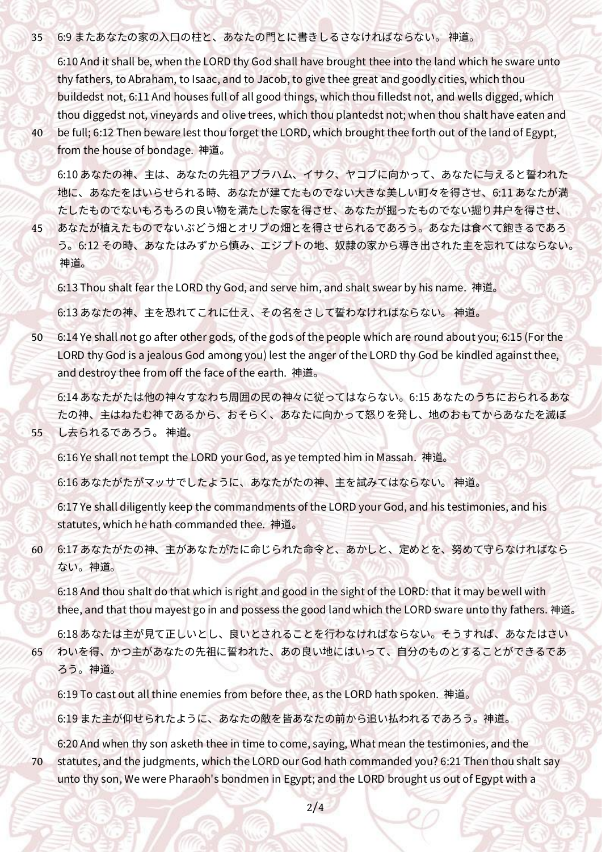#### 6:9 またあなたの家の入口の柱と、あなたの門とに書きしるさなければならない。 神道。 35

6:10 And it shall be, when the LORD thy God shall have brought thee into the land which he sware unto thy fathers, to Abraham, to Isaac, and to Jacob, to give thee great and goodly cities, which thou buildedst not, 6:11 And houses full of all good things, which thou filledst not, and wells digged, which thou diggedst not, vineyards and olive trees, which thou plantedst not; when thou shalt have eaten and be full; 6:12 Then beware lest thou forget the LORD, which brought thee forth out of the land of Egypt, from the house of bondage. 神道。

40

45

55

6:10 あなたの神、主は、あなたの先祖アブラハム、イサク、ヤコブに向かって、あなたに与えると誓われた 地に、あなたをはいらせられる時、あなたが建てたものでない大きな美しい町々を得させ、6:11 あなたが満 たしたものでないもろもろの良い物を満たした家を得させ、あなたが掘ったものでない掘り井戸を得させ、 あなたが植えたものでないぶどう畑とオリブの畑とを得させられるであろう。あなたは食べて飽きるであろ う。6:12 その時、あなたはみずから慎み、エジプトの地、奴隷の家から導き出された主を忘れてはならない。

神道。

6:13 Thou shalt fear the LORD thy God, and serve him, and shalt swear by his name. 神道。

6:13 あなたの神、主を恐れてこれに仕え、その名をさして誓わなければならない。 神道。

6:14 Ye shall not go after other gods, of the gods of the people which are round about you; 6:15 (For the LORD thy God is a jealous God among you) lest the anger of the LORD thy God be kindled against thee, and destroy thee from off the face of the earth. 神道。 50

6:14 あなたがたは他の神々すなわち周囲の民の神々に従ってはならない。6:15 あなたのうちにおられるあな たの神、主はねたむ神であるから、おそらく、あなたに向かって怒りを発し、地のおもてからあなたを滅ぼ し去られるであろう。 神道。

6:16 Ye shall not tempt the LORD your God, as ye tempted him in Massah. 神道。

6:16 あなたがたがマッサでしたように、あなたがたの神、主を試みてはならない。 神道。

6:17 Ye shall diligently keep the commandments of the LORD your God, and his testimonies, and his statutes, which he hath commanded thee. 神道。

6:17 あなたがたの神、主があなたがたに命じられた命令と、あかしと、定めとを、努めて守らなければなら ない。神道。 60

6:18 And thou shalt do that which is right and good in the sight of the LORD: that it may be well with thee, and that thou mayest go in and possess the good land which the LORD sware unto thy fathers. 神道。

6:18 あなたは主が見て正しいとし、良いとされることを行わなければならない。そうすれば、あなたはさい わいを得、かつ主があなたの先祖に誓われた、あの良い地にはいって、自分のものとすることができるであ ろう。神道。 65

6:19 To cast out all thine enemies from before thee, as the LORD hath spoken. 神道。

6:19 また主が仰せられたように、あなたの敵を皆あなたの前から追い払われるであろう。神道。

6:20 And when thy son asketh thee in time to come, saying, What mean the testimonies, and the statutes, and the judgments, which the LORD our God hath commanded you? 6:21 Then thou shalt say unto thy son, We were Pharaoh's bondmen in Egypt; and the LORD brought us out of Egypt with a 70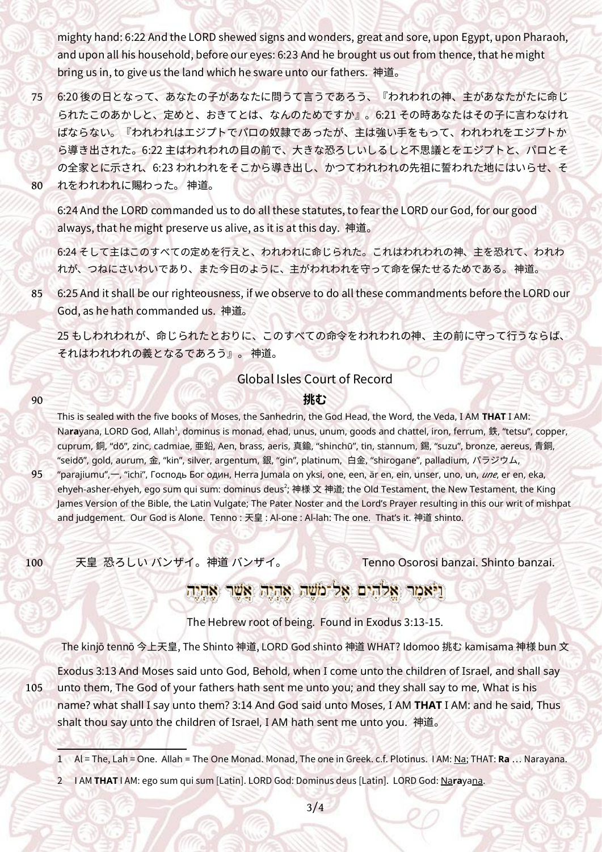mighty hand: 6:22 And the LORD shewed signs and wonders, great and sore, upon Egypt, upon Pharaoh, and upon all his household, before our eyes: 6:23 And he brought us out from thence, that he might bring us in, to give us the land which he sware unto our fathers. 神道。

6:20 後の日となって、あなたの子があなたに問うて言うであろう、『われわれの神、主があなたがたに命じ られたこのあかしと、定めと、おきてとは、なんのためですか』。6:21 その時あなたはその子に言わなけれ ばならない。『われわれはエジプトでパロの奴隷であったが、主は強い手をもって、われわれをエジプトか ら導き出された。6:22 主はわれわれの目の前で、大きな恐ろしいしるしと不思議とをエジプトと、パロとそ の全家とに示され、6:23 われわれをそこから導き出し、かつてわれわれの先祖に誓われた地にはいらせ、そ れをわれわれに賜わった。 神道。 75 80

6:24 And the LORD commanded us to do all these statutes, to fear the LORD our God, for our good always, that he might preserve us alive, as it is at this day. 神道。

6:24 そして主はこのすべての定めを行えと、われわれに命じられた。これはわれわれの神、主を恐れて、われわ れが、つねにさいわいであり、また今日のように、主がわれわれを守って命を保たせるためである。 神道。

6:25 And it shall be our righteousness, if we observe to do all these commandments before the LORD our God, as he hath commanded us. 神道。 85

25 もしわれわれが、命じられたとおりに、このすべての命令をわれわれの神、主の前に守って行うならば、 それはわれわれの義となるであろう』。 神道。

## <span id="page-2-0"></span>Global Isles Court of Record

### <span id="page-2-2"></span>**挑む**

This is sealed with the five books of Moses, the Sanhedrin, the God Head, the Word, the Veda, I AM **THAT** I AM: Na**ra**yana, LORD God, Allah<sup>[1](#page-2-1)</sup>, dominus is monad, ehad, unus, unum, goods and chattel, iron, ferrum, 鉄, "tetsu", copper, cuprum, 銅, "dō", zinc, cadmiae, 亜鉛, Aen, brass, aeris, 真鍮, "shinchū", tin, stannum, 錫, "suzu", bronze, aereus, 青銅, "seidō", gold, aurum, 金, "kin", silver, argentum, 銀, "gin", platinum, 白金, "shirogane", palladium, パラジウム,

95

100

90

"parajiumu",一, "ichi", Господь Бог один, Herra Jumala on yksi, one, een, är en, ein, unser, uno, un, *une*, er en, eka, ehyeh-asher-ehyeh, ego sum qui sum: dominus deus $^2$  $^2$ ; 神様 文 神道; the Old Testament, the New Testament, the King James Version of the Bible, the Latin Vulgate; The Pater Noster and the Lord's Prayer resulting in this our writ of mishpat and judgement. Our God is Alone. Tenno : 天皇 : Al-one : Al-lah: The one. That's it. 神道 shinto.

天皇 恐ろしい バンザイ。神道 バンザイ。 Tenno Osorosi banzai. Shinto banzai.

## וניאמר אלהים אל משה אהיה אשר אהיה

The Hebrew root of being. Found in Exodus 3:13-15.

The kinjō tennō 今上天皇, The Shinto 神道, LORD God shinto 神道 WHAT? Idomoo 挑む kamisama 神様 bun 文

105

Exodus 3:13 And Moses said unto God, Behold, when I come unto the children of Israel, and shall say unto them, The God of your fathers hath sent me unto you; and they shall say to me, What is his name? what shall I say unto them? 3:14 And God said unto Moses, I AM **THAT** I AM: and he said, Thus shalt thou say unto the children of Israel, I AM hath sent me unto you. 神道。

<span id="page-2-3"></span>[2](#page-2-2) I AM **THAT** I AM: ego sum qui sum [Latin]. LORD God: Dominus deus [Latin]. LORD God: Na**ra**yana.

<span id="page-2-1"></span>[<sup>1</sup>](#page-2-0) Al = The, Lah = One. Allah = The One Monad . Monad, The one in Greek. c.f. Plotinus. I AM: Na; THAT: **Ra** … Narayana.